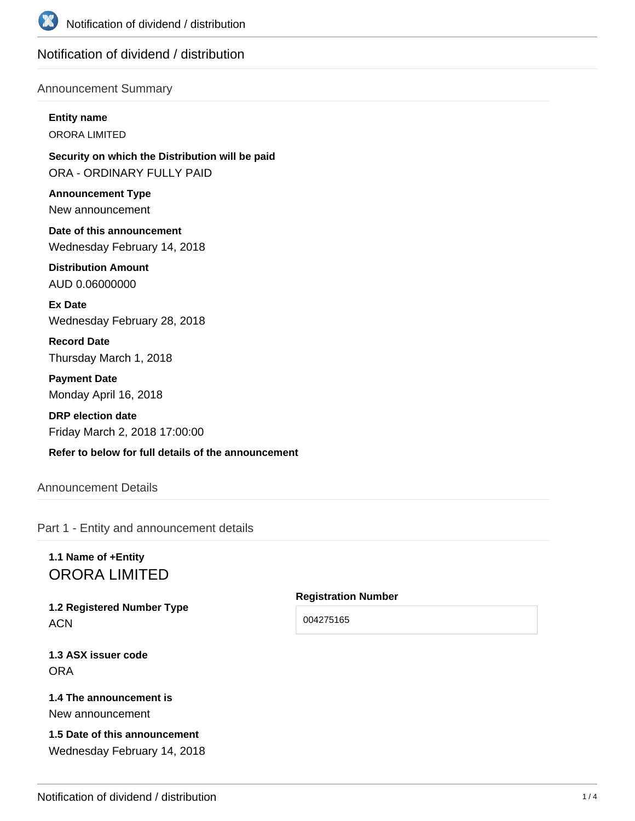

## Notification of dividend / distribution

### Announcement Summary

**Entity name**

ORORA LIMITED

**Security on which the Distribution will be paid** ORA - ORDINARY FULLY PAID

**Announcement Type** New announcement

**Date of this announcement** Wednesday February 14, 2018

**Distribution Amount** AUD 0.06000000

**Ex Date** Wednesday February 28, 2018

**Record Date** Thursday March 1, 2018

**Payment Date** Monday April 16, 2018

**DRP election date** Friday March 2, 2018 17:00:00

**Refer to below for full details of the announcement**

## Announcement Details

Part 1 - Entity and announcement details

# **1.1 Name of +Entity** ORORA LIMITED

**1.2 Registered Number Type ACN** 

**1.3 ASX issuer code** ORA

### **1.4 The announcement is** New announcement

## **1.5 Date of this announcement** Wednesday February 14, 2018

**Registration Number**

004275165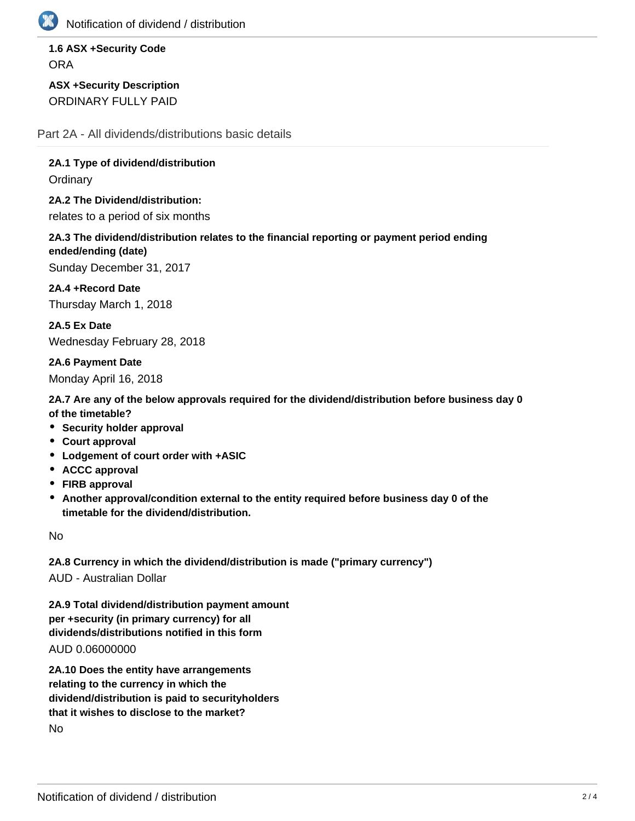

Notification of dividend / distribution

**1.6 ASX +Security Code ORA** 

**ASX +Security Description** ORDINARY FULLY PAID

Part 2A - All dividends/distributions basic details

**2A.1 Type of dividend/distribution**

**Ordinary** 

**2A.2 The Dividend/distribution:** relates to a period of six months

**2A.3 The dividend/distribution relates to the financial reporting or payment period ending ended/ending (date)**

Sunday December 31, 2017

**2A.4 +Record Date** Thursday March 1, 2018

**2A.5 Ex Date** Wednesday February 28, 2018

**2A.6 Payment Date** Monday April 16, 2018

**2A.7 Are any of the below approvals required for the dividend/distribution before business day 0 of the timetable?**

- **Security holder approval**
- **Court approval**
- **Lodgement of court order with +ASIC**
- **ACCC approval**
- **FIRB approval**
- **Another approval/condition external to the entity required before business day 0 of the timetable for the dividend/distribution.**

No

**2A.8 Currency in which the dividend/distribution is made ("primary currency")** AUD - Australian Dollar

**2A.9 Total dividend/distribution payment amount per +security (in primary currency) for all dividends/distributions notified in this form**

AUD 0.06000000

**2A.10 Does the entity have arrangements relating to the currency in which the dividend/distribution is paid to securityholders that it wishes to disclose to the market?** No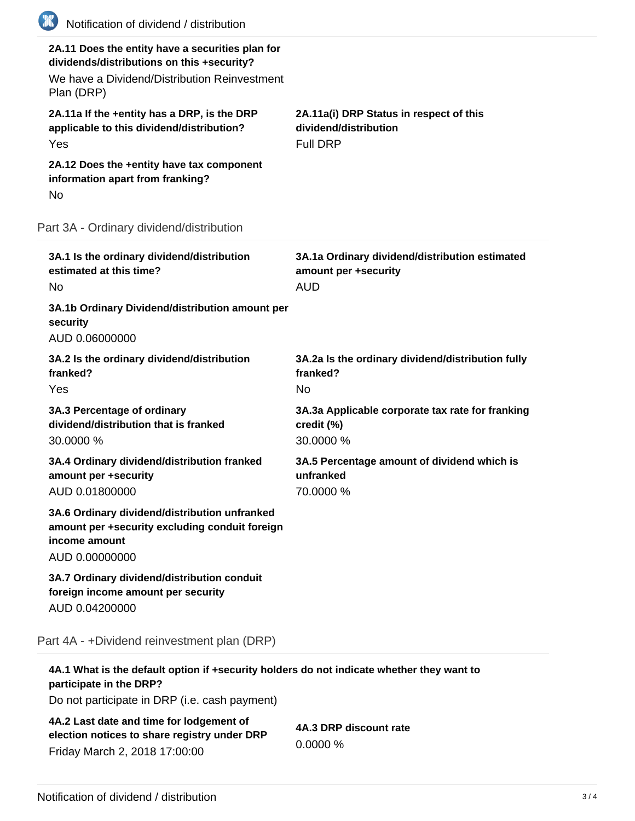| (K) | Notification of dividend / distribution                                                                                                                      |                                                                                      |
|-----|--------------------------------------------------------------------------------------------------------------------------------------------------------------|--------------------------------------------------------------------------------------|
|     | 2A.11 Does the entity have a securities plan for<br>dividends/distributions on this +security?<br>We have a Dividend/Distribution Reinvestment<br>Plan (DRP) |                                                                                      |
|     | 2A.11a If the +entity has a DRP, is the DRP<br>applicable to this dividend/distribution?<br>Yes                                                              | 2A.11a(i) DRP Status in respect of this<br>dividend/distribution<br><b>Full DRP</b>  |
| No  | 2A.12 Does the +entity have tax component<br>information apart from franking?                                                                                |                                                                                      |
|     | Part 3A - Ordinary dividend/distribution                                                                                                                     |                                                                                      |
| No  | 3A.1 Is the ordinary dividend/distribution<br>estimated at this time?                                                                                        | 3A.1a Ordinary dividend/distribution estimated<br>amount per +security<br><b>AUD</b> |
|     | 3A.1b Ordinary Dividend/distribution amount per<br>security<br>AUD 0.06000000                                                                                |                                                                                      |
|     | 3A.2 Is the ordinary dividend/distribution<br>franked?<br>Yes                                                                                                | 3A.2a Is the ordinary dividend/distribution fully<br>franked?<br><b>No</b>           |
|     | 3A.3 Percentage of ordinary<br>dividend/distribution that is franked<br>30.0000 %                                                                            | 3A.3a Applicable corporate tax rate for franking<br>credit (%)<br>30.0000 %          |
|     | 3A.4 Ordinary dividend/distribution franked<br>amount per +security<br>AUD 0.01800000                                                                        | 3A.5 Percentage amount of dividend which is<br>unfranked<br>70.0000 %                |
|     | 3A.6 Ordinary dividend/distribution unfranked<br>amount per +security excluding conduit foreign<br>income amount<br>AUD 0.00000000                           |                                                                                      |
|     | 3A.7 Ordinary dividend/distribution conduit<br>foreign income amount per security<br>AUD 0.04200000                                                          |                                                                                      |
|     | Part 4A - +Dividend reinvestment plan (DRP)                                                                                                                  |                                                                                      |
|     | 4A.1 What is the default option if +security holders do not indicate whether they want to                                                                    |                                                                                      |

**participate in the DRP?**

Do not participate in DRP (i.e. cash payment)

**4A.2 Last date and time for lodgement of election notices to share registry under DRP** Friday March 2, 2018 17:00:00

**4A.3 DRP discount rate** 0.0000 %